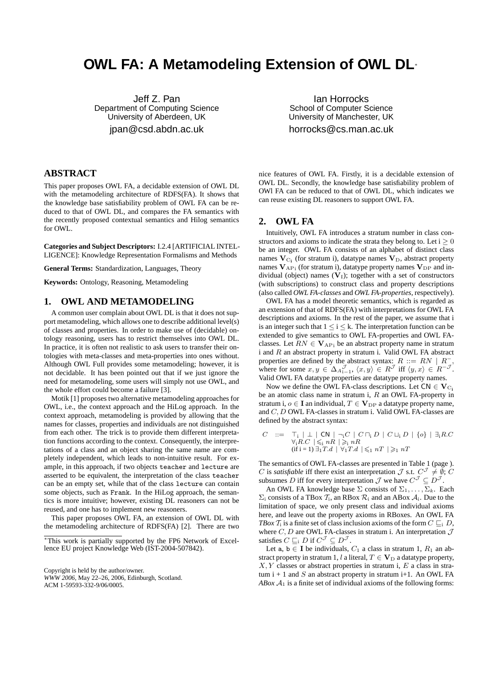# **OWL FA: A Metamodeling Extension of OWL DL**<sup>∗</sup>

Jeff Z. Pan Department of Computing Science University of Aberdeen, UK jpan@csd.abdn.ac.uk

Ian Horrocks School of Computer Science University of Manchester, UK horrocks@cs.man.ac.uk

## **ABSTRACT**

This paper proposes OWL FA, a decidable extension of OWL DL with the metamodeling architecture of RDFS(FA). It shows that the knowledge base satisfiability problem of OWL FA can be reduced to that of OWL DL, and compares the FA semantics with the recently proposed contextual semantics and Hilog semantics for OWL.

**Categories and Subject Descriptors:** I.2.4 [ARTIFICIAL INTEL-LIGENCE]: Knowledge Representation Formalisms and Methods

**General Terms:** Standardization, Languages, Theory

**Keywords:** Ontology, Reasoning, Metamodeling

#### **1. OWL AND METAMODELING**

A common user complain about OWL DL is that it does not support metamodeling, which allows one to describe additional level(s) of classes and properties. In order to make use of (decidable) ontology reasoning, users has to restrict themselves into OWL DL. In practice, it is often not realistic to ask users to transfer their ontologies with meta-classes and meta-properties into ones without. Although OWL Full provides some metamodeling; however, it is not decidable. It has been pointed out that if we just ignore the need for metamodeling, some users will simply not use OWL, and the whole effort could become a failure [3].

Motik [1] proposes two alternative metamodeling approaches for OWL, i.e., the context approach and the HiLog approach. In the context approach, metamodeling is provided by allowing that the names for classes, properties and individuals are not distinguished from each other. The trick is to provide them different interpretation functions according to the context. Consequently, the interpretations of a class and an object sharing the same name are completely independent, which leads to non-intuitive result. For example, in this approach, if two objects teacher and lecture are asserted to be equivalent, the interpretation of the class teacher can be an empty set, while that of the class lecture can contain some objects, such as Frank. In the HiLog approach, the semantics is more intuitive; however, existing DL reasoners can not be reused, and one has to implement new reasoners.

This paper proposes OWL FA, an extension of OWL DL with the metamodeling architecture of RDFS(FA) [2]. There are two

ACM 1-59593-332-9/06/0005.

nice features of OWL FA. Firstly, it is a decidable extension of OWL DL. Secondly, the knowledge base satisfiability problem of OWl FA can be reduced to that of OWL DL, which indicates we can reuse existing DL reasoners to support OWL FA.

#### **2. OWL FA**

Intuitively, OWL FA introduces a stratum number in class constructors and axioms to indicate the strata they belong to. Let  $i \geq 0$ be an integer. OWL FA consists of an alphabet of distinct class names  $\mathbf{V}_{\text{C}_{\text{i}}}$  (for stratum i), datatype names  $\mathbf{V}_{\text{D}}$ , abstract property names  $V_{APi}$  (for stratum i), datatype property names  $V_{DP}$  and individual (object) names  $(V<sub>I</sub>)$ ; together with a set of constructors (with subscriptions) to construct class and property descriptions (also called *OWL FA-classes* and *OWL FA-properties*, respectively).

OWL FA has a model theoretic semantics, which is regarded as an extension of that of RDFS(FA) with interpretations for OWL FA descriptions and axioms. In the rest of the paper, we assume that i is an integer such that  $1 \le i \le k$ . The interpretation function can be extended to give semantics to OWL FA-properties and OWL FAclasses. Let  $RN \in \mathbf{V}_{AP_i}$  be an abstract property name in stratum i and  $R$  an abstract property in stratum i. Valid OWL FA abstract properties are defined by the abstract syntax:  $R ::= RN \mid R^{-}$ −, where for some  $x, y \in \Delta A_{i-1}^{\mathcal{J}}, \langle x, y \rangle \in R^{\mathcal{J}}$  iff  $\langle y, x \rangle \in R^{-\mathcal{J}}$ . Valid OWL FA datatype properties are datatype property names.

Now we define the OWL FA-class descriptions. Let  $CN \in V_{C_i}$ be an atomic class name in stratum i,  $R$  an OWL FA-property in stratum i,  $o \in I$  an individual,  $T \in V_{DP}$  a datatype property name, and C, D OWL FA-classes in stratum i. Valid OWL FA-classes are defined by the abstract syntax:

$$
C \quad ::= \quad \top_i \mid \bot \mid \mathsf{CN} \mid \neg_i C \mid C \sqcap_i D \mid C \sqcup_i D \mid \{o\} \mid \exists_i R.C
$$
\n
$$
\forall_i R.C \mid \leq_i nR \mid \geq_i nR
$$
\n
$$
(if i = 1) \exists_1 T.d \mid \forall_1 T.d \mid \leq_i nT \mid \geq_i nT
$$

The semantics of OWL FA-classes are presented in Table 1 (page ). C is *satisfiable* iff there exist an interpretation  $\mathcal{J}$  s.t.  $C^{\mathcal{J}} \neq \emptyset$ ; C subsumes D iff for every interpretation  $\mathcal J$  we have  $C^{\mathcal J} \subseteq D^{\mathcal J}$ .

An OWL FA knowledge base  $\Sigma$  consists of  $\Sigma_1, \ldots, \Sigma_k$ . Each  $\Sigma_i$  consists of a TBox  $\mathcal{T}_i$ , an RBox  $\mathcal{R}_i$  and an ABox  $\mathcal{A}_i$ . Due to the limitation of space, we only present class and individual axioms here, and leave out the property axioms in RBoxes. An OWL FA *TBox*  $\mathcal{T}_i$  is a finite set of class inclusion axioms of the form  $C \sqsubset_i D$ , where  $C, D$  are OWL FA-classes in stratum i. An interpretation  $\mathcal J$ satisfies  $C \sqsubseteq_i D$  if  $C^{\mathcal{J}} \subseteq D^{\mathcal{J}}$ .

Let a, b  $\in$  I be individuals,  $C_1$  a class in stratum 1,  $R_1$  an abstract property in stratum 1, l a literal,  $T \in V_D$  a datatype property,  $X, Y$  classes or abstract properties in stratum i,  $E$  a class in stratum  $i + 1$  and S an abstract property in stratum  $i+1$ . An OWL FA *ABox*  $A_1$  is a finite set of individual axioms of the following forms:

<sup>∗</sup>This work is partially supported by the FP6 Network of Excellence EU project Knowledge Web (IST-2004-507842).

Copyright is held by the author/owner. *WWW 2006,* May 22–26, 2006, Edinburgh, Scotland.